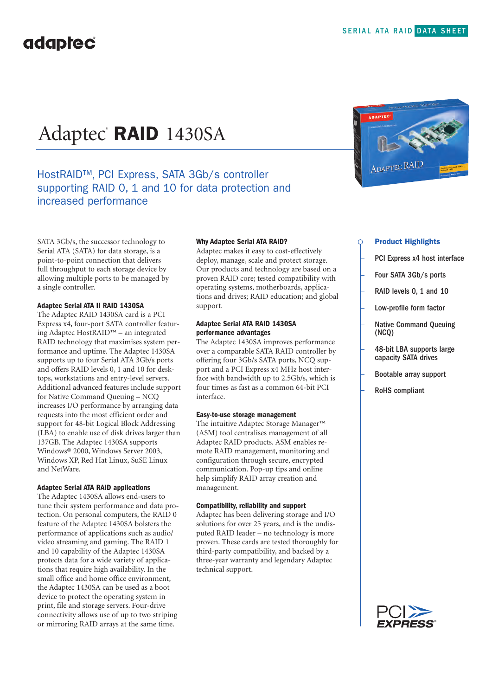# Adaptec® **RAID** 1430SA

### HostRAID™, PCI Express, SATA 3Gb/s controller supporting RAID 0, 1 and 10 for data protection and increased performance

SATA 3Gb/s, the successor technology to Serial ATA (SATA) for data storage, is a point-to-point connection that delivers full throughput to each storage device by allowing multiple ports to be managed by a single controller.

#### **Adaptec Serial ATA II RAID 1430SA**

The Adaptec RAID 1430SA card is a PCI Express x4, four-port SATA controller featuring Adaptec HostRAID™ – an integrated RAID technology that maximises system performance and uptime. The Adaptec 1430SA supports up to four Serial ATA 3Gb/s ports and offers RAID levels 0, 1 and 10 for desktops, workstations and entry-level servers. Additional advanced features include support for Native Command Queuing – NCQ increases I/O performance by arranging data requests into the most efficient order and support for 48-bit Logical Block Addressing (LBA) to enable use of disk drives larger than 137GB. The Adaptec 1430SA supports Windows® 2000, Windows Server 2003, Windows XP, Red Hat Linux, SuSE Linux and NetWare.

#### **Adaptec Serial ATA RAID applications**

The Adaptec 1430SA allows end-users to tune their system performance and data protection. On personal computers, the RAID 0 feature of the Adaptec 1430SA bolsters the performance of applications such as audio/ video streaming and gaming. The RAID 1 and 10 capability of the Adaptec 1430SA protects data for a wide variety of applications that require high availability. In the small office and home office environment, the Adaptec 1430SA can be used as a boot device to protect the operating system in print, file and storage servers. Four-drive connectivity allows use of up to two striping or mirroring RAID arrays at the same time.

#### **Why Adaptec Serial ATA RAID?**

Adaptec makes it easy to cost-effectively deploy, manage, scale and protect storage. Our products and technology are based on a proven RAID core; tested compatibility with operating systems, motherboards, applications and drives; RAID education; and global support.

#### **Adaptec Serial ATA RAID 1430SA performance advantages**

The Adaptec 1430SA improves performance over a comparable SATA RAID controller by offering four 3Gb/s SATA ports, NCQ support and a PCI Express x4 MHz host interface with bandwidth up to 2.5Gb/s, which is four times as fast as a common 64-bit PCI interface.

#### **Easy-to-use storage management**

The intuitive Adaptec Storage Manager™ (ASM) tool centralises management of all Adaptec RAID products. ASM enables remote RAID management, monitoring and configuration through secure, encrypted communication. Pop-up tips and online help simplify RAID array creation and management.

#### **Compatibility, reliability and support**

Adaptec has been delivering storage and I/O solutions for over 25 years, and is the undisputed RAID leader – no technology is more proven. These cards are tested thoroughly for third-party compatibility, and backed by a three-year warranty and legendary Adaptec technical support.



#### **Product Highlights**

- PCI Express x4 host interface
- Four SATA 3Gb/s ports
- RAID levels 0, 1 and 10
- Low-profile form factor
- Native Command Queuing (NCQ)
- 48-bit LBA supports large capacity SATA drives
- Bootable array support
	- RoHS compliant